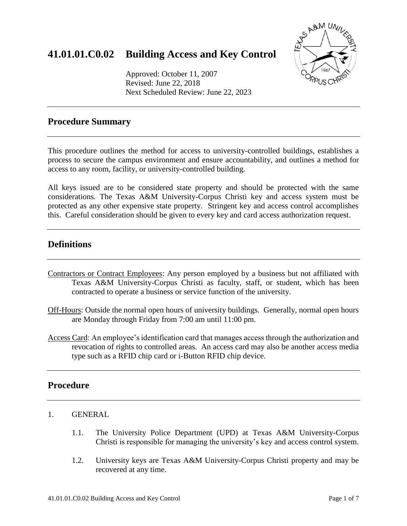# **41.01.01.C0.02 Building Access and Key Control**

Approved: October 11, 2007 Revised: June 22, 2018 Next Scheduled Review: June 22, 2023



## **Procedure Summary**

This procedure outlines the method for access to university-controlled buildings, establishes a process to secure the campus environment and ensure accountability, and outlines a method for access to any room, facility, or university-controlled building.

All keys issued are to be considered state property and should be protected with the same considerations. The Texas A&M University-Corpus Christi key and access system must be protected as any other expensive state property. Stringent key and access control accomplishes this. Careful consideration should be given to every key and card access authorization request.

## **Definitions**

- Contractors or Contract Employees: Any person employed by a business but not affiliated with Texas A&M University-Corpus Christi as faculty, staff, or student, which has been contracted to operate a business or service function of the university.
- Off-Hours: Outside the normal open hours of university buildings. Generally, normal open hours are Monday through Friday from 7:00 am until 11:00 pm.
- Access Card: An employee's identification card that manages access through the authorization and revocation of rights to controlled areas. An access card may also be another access media type such as a RFID chip card or i-Button RFID chip device.

## **Procedure**

- 1. GENERAL
	- 1.1. The University Police Department (UPD) at Texas A&M University-Corpus Christi is responsible for managing the university's key and access control system.
	- 1.2. University keys are Texas A&M University-Corpus Christi property and may be recovered at any time.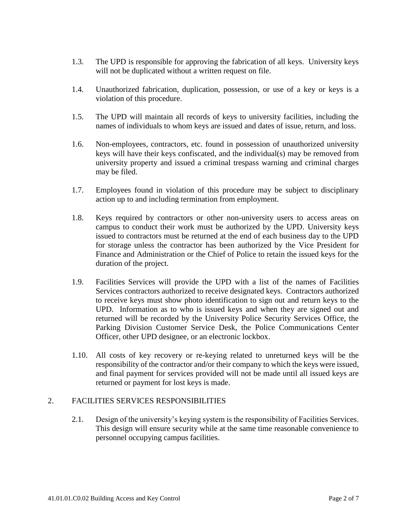- 1.3. The UPD is responsible for approving the fabrication of all keys. University keys will not be duplicated without a written request on file.
- 1.4. Unauthorized fabrication, duplication, possession, or use of a key or keys is a violation of this procedure.
- 1.5. The UPD will maintain all records of keys to university facilities, including the names of individuals to whom keys are issued and dates of issue, return, and loss.
- 1.6. Non-employees, contractors, etc. found in possession of unauthorized university keys will have their keys confiscated, and the individual(s) may be removed from university property and issued a criminal trespass warning and criminal charges may be filed.
- 1.7. Employees found in violation of this procedure may be subject to disciplinary action up to and including termination from employment.
- 1.8. Keys required by contractors or other non-university users to access areas on campus to conduct their work must be authorized by the UPD. University keys issued to contractors must be returned at the end of each business day to the UPD for storage unless the contractor has been authorized by the Vice President for Finance and Administration or the Chief of Police to retain the issued keys for the duration of the project.
- 1.9. Facilities Services will provide the UPD with a list of the names of Facilities Services contractors authorized to receive designated keys. Contractors authorized to receive keys must show photo identification to sign out and return keys to the UPD. Information as to who is issued keys and when they are signed out and returned will be recorded by the University Police Security Services Office, the Parking Division Customer Service Desk, the Police Communications Center Officer, other UPD designee, or an electronic lockbox.
- 1.10. All costs of key recovery or re-keying related to unreturned keys will be the responsibility of the contractor and/or their company to which the keys were issued, and final payment for services provided will not be made until all issued keys are returned or payment for lost keys is made.

#### 2. FACILITIES SERVICES RESPONSIBILITIES

2.1. Design of the university's keying system is the responsibility of Facilities Services. This design will ensure security while at the same time reasonable convenience to personnel occupying campus facilities.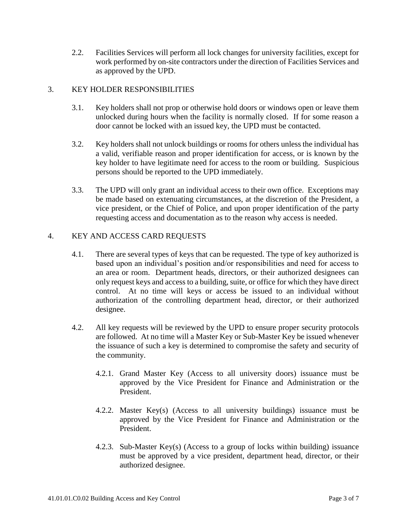2.2. Facilities Services will perform all lock changes for university facilities, except for work performed by on-site contractors under the direction of Facilities Services and as approved by the UPD.

#### 3. KEY HOLDER RESPONSIBILITIES

- 3.1. Key holders shall not prop or otherwise hold doors or windows open or leave them unlocked during hours when the facility is normally closed. If for some reason a door cannot be locked with an issued key, the UPD must be contacted.
- 3.2. Key holders shall not unlock buildings or rooms for others unless the individual has a valid, verifiable reason and proper identification for access, or is known by the key holder to have legitimate need for access to the room or building. Suspicious persons should be reported to the UPD immediately.
- 3.3. The UPD will only grant an individual access to their own office. Exceptions may be made based on extenuating circumstances, at the discretion of the President, a vice president, or the Chief of Police, and upon proper identification of the party requesting access and documentation as to the reason why access is needed.

#### 4. KEY AND ACCESS CARD REQUESTS

- 4.1. There are several types of keys that can be requested. The type of key authorized is based upon an individual's position and/or responsibilities and need for access to an area or room. Department heads, directors, or their authorized designees can only request keys and access to a building, suite, or office for which they have direct control. At no time will keys or access be issued to an individual without authorization of the controlling department head, director, or their authorized designee.
- 4.2. All key requests will be reviewed by the UPD to ensure proper security protocols are followed. At no time will a Master Key or Sub-Master Key be issued whenever the issuance of such a key is determined to compromise the safety and security of the community.
	- 4.2.1. Grand Master Key (Access to all university doors) issuance must be approved by the Vice President for Finance and Administration or the President.
	- 4.2.2. Master Key(s) (Access to all university buildings) issuance must be approved by the Vice President for Finance and Administration or the President.
	- 4.2.3. Sub-Master Key(s) (Access to a group of locks within building) issuance must be approved by a vice president, department head, director, or their authorized designee.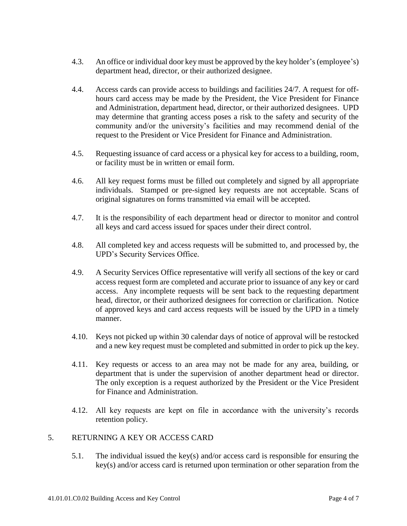- 4.3. An office or individual door key must be approved by the key holder's (employee's) department head, director, or their authorized designee.
- 4.4. Access cards can provide access to buildings and facilities 24/7. A request for offhours card access may be made by the President, the Vice President for Finance and Administration, department head, director, or their authorized designees. UPD may determine that granting access poses a risk to the safety and security of the community and/or the university's facilities and may recommend denial of the request to the President or Vice President for Finance and Administration.
- 4.5. Requesting issuance of card access or a physical key for access to a building, room, or facility must be in written or email form.
- 4.6. All key request forms must be filled out completely and signed by all appropriate individuals. Stamped or pre-signed key requests are not acceptable. Scans of original signatures on forms transmitted via email will be accepted.
- 4.7. It is the responsibility of each department head or director to monitor and control all keys and card access issued for spaces under their direct control.
- 4.8. All completed key and access requests will be submitted to, and processed by, the UPD's Security Services Office.
- 4.9. A Security Services Office representative will verify all sections of the key or card access request form are completed and accurate prior to issuance of any key or card access. Any incomplete requests will be sent back to the requesting department head, director, or their authorized designees for correction or clarification. Notice of approved keys and card access requests will be issued by the UPD in a timely manner.
- 4.10. Keys not picked up within 30 calendar days of notice of approval will be restocked and a new key request must be completed and submitted in order to pick up the key.
- 4.11. Key requests or access to an area may not be made for any area, building, or department that is under the supervision of another department head or director. The only exception is a request authorized by the President or the Vice President for Finance and Administration.
- 4.12. All key requests are kept on file in accordance with the university's records retention policy.

#### 5. RETURNING A KEY OR ACCESS CARD

5.1. The individual issued the key(s) and/or access card is responsible for ensuring the key(s) and/or access card is returned upon termination or other separation from the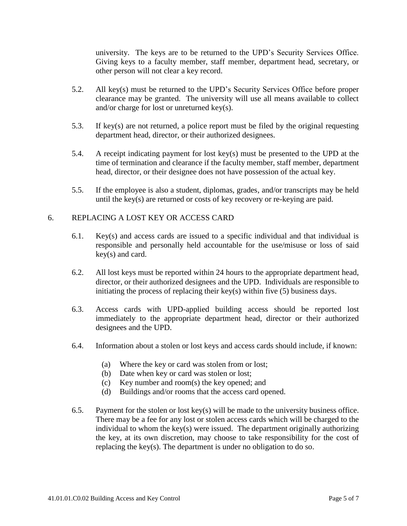university. The keys are to be returned to the UPD's Security Services Office. Giving keys to a faculty member, staff member, department head, secretary, or other person will not clear a key record.

- 5.2. All key(s) must be returned to the UPD's Security Services Office before proper clearance may be granted. The university will use all means available to collect and/or charge for lost or unreturned key(s).
- 5.3. If key(s) are not returned, a police report must be filed by the original requesting department head, director, or their authorized designees.
- 5.4. A receipt indicating payment for lost key(s) must be presented to the UPD at the time of termination and clearance if the faculty member, staff member, department head, director, or their designee does not have possession of the actual key.
- 5.5. If the employee is also a student, diplomas, grades, and/or transcripts may be held until the key(s) are returned or costs of key recovery or re-keying are paid.

#### 6. REPLACING A LOST KEY OR ACCESS CARD

- 6.1. Key(s) and access cards are issued to a specific individual and that individual is responsible and personally held accountable for the use/misuse or loss of said key(s) and card.
- 6.2. All lost keys must be reported within 24 hours to the appropriate department head, director, or their authorized designees and the UPD. Individuals are responsible to initiating the process of replacing their key(s) within five (5) business days.
- 6.3. Access cards with UPD-applied building access should be reported lost immediately to the appropriate department head, director or their authorized designees and the UPD.
- 6.4. Information about a stolen or lost keys and access cards should include, if known:
	- (a) Where the key or card was stolen from or lost;
	- (b) Date when key or card was stolen or lost;
	- (c) Key number and room(s) the key opened; and
	- (d) Buildings and/or rooms that the access card opened.
- 6.5. Payment for the stolen or lost key(s) will be made to the university business office. There may be a fee for any lost or stolen access cards which will be charged to the individual to whom the key(s) were issued. The department originally authorizing the key, at its own discretion, may choose to take responsibility for the cost of replacing the key(s). The department is under no obligation to do so.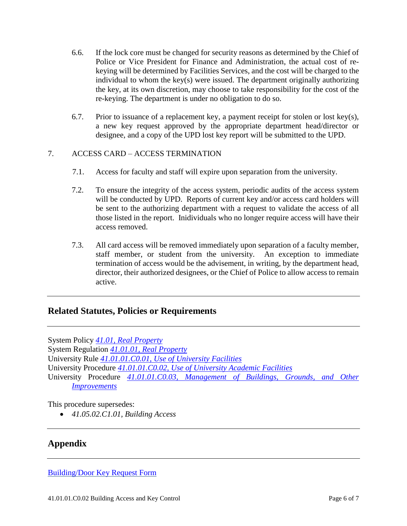- 6.6. If the lock core must be changed for security reasons as determined by the Chief of Police or Vice President for Finance and Administration, the actual cost of rekeying will be determined by Facilities Services, and the cost will be charged to the individual to whom the key(s) were issued. The department originally authorizing the key, at its own discretion, may choose to take responsibility for the cost of the re-keying. The department is under no obligation to do so.
- 6.7. Prior to issuance of a replacement key, a payment receipt for stolen or lost key(s), a new key request approved by the appropriate department head/director or designee, and a copy of the UPD lost key report will be submitted to the UPD.

#### 7. ACCESS CARD – ACCESS TERMINATION

- 7.1. Access for faculty and staff will expire upon separation from the university.
- 7.2. To ensure the integrity of the access system, periodic audits of the access system will be conducted by UPD. Reports of current key and/or access card holders will be sent to the authorizing department with a request to validate the access of all those listed in the report. Inidividuals who no longer require access will have their access removed.
- 7.3. All card access will be removed immediately upon separation of a faculty member, staff member, or student from the university. An exception to immediate termination of access would be the advisement, in writing, by the department head, director, their authorized designees, or the Chief of Police to allow access to remain active.

#### **Related Statutes, Policies or Requirements**

System Policy *[41.01, Real Property](http://policies.tamus.edu/41-01.pdf)* System Regulation *[41.01.01, Real Property](http://policies.tamus.edu/41-01-01.pdf)* University Rule *[41.01.01.C0.01, Use of University Facilities](http://academicaffairs.tamucc.edu/rules_procedures/assets/41.01.99.c1_use_of_university_facilities.pdf)* University Procedure *[41.01.01.C0.02, Use of University Academic Facilities](http://academicaffairs.tamucc.edu/rules_procedures/assets/41.01.99.C1.02_procedures_for_the_use_of_university_academic_facilities.pdf)* University Procedure *41.01.01.C0.03, Management [of Buildings, Grounds, and Other](http://academicaffairs.tamucc.edu/rules_procedures/assets/41.01.01.c0.03_management_of_buildings_grounds_and_other_improvements.pdf)  [Improvements](http://academicaffairs.tamucc.edu/rules_procedures/assets/41.01.01.c0.03_management_of_buildings_grounds_and_other_improvements.pdf)*

This procedure supersedes:

• *41.05.02.C1.01, Building Access*

## **Appendix**

[Building/Door Key Request Form](http://police.tamucc.edu/assets/docs/KEY%20REQUEST.docx)